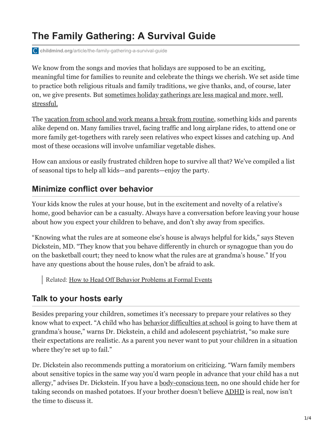# **The Family Gathering: A Survival Guide**

**C** childmind.org[/article/the-family-gathering-a-survival-guide](https://childmind.org/article/the-family-gathering-a-survival-guide/)

We know from the songs and movies that holidays are supposed to be an exciting, meaningful time for families to reunite and celebrate the things we cherish. We set aside time to practice both religious rituals and family traditions, we give thanks, and, of course, later [on, we give presents. But sometimes holiday gatherings are less magical and more, well,](https://childmind.org/article/how-to-take-the-stress-out-of-the-holidays/) stressful.

The [vacation from school and work means a break from routine](https://childmind.org/topics/concerns/holidays-and-vacations/), something kids and parents alike depend on. Many families travel, facing traffic and long airplane rides, to attend one or more family get-togethers with rarely seen relatives who expect kisses and catching up. And most of these occasions will involve unfamiliar vegetable dishes.

How can anxious or easily frustrated children hope to survive all that? We've compiled a list of seasonal tips to help all kids—and parents—enjoy the party.

#### **Minimize conflict over behavior**

Your kids know the rules at your house, but in the excitement and novelty of a relative's home, good behavior can be a casualty. Always have a conversation before leaving your house about how you expect your children to behave, and don't shy away from specifics.

"Knowing what the rules are at someone else's house is always helpful for kids," says Steven Dickstein, MD. "They know that you behave differently in church or synagogue than you do on the basketball court; they need to know what the rules are at grandma's house." If you have any questions about the house rules, don't be afraid to ask.

Related: [How to Head Off Behavior Problems at Formal Events](https://childmind.org/article/7-common-behavior-problems-at-formal-events-and-how-to-prevent-them/)

#### **Talk to your hosts early**

Besides preparing your children, sometimes it's necessary to prepare your relatives so they know what to expect. "A child who has [behavior difficulties at school](https://childmind.org/article/disruptive-behavior-why-its-often-misdiagnosed/) is going to have them at grandma's house," warns Dr. Dickstein, a child and adolescent psychiatrist, "so make sure their expectations are realistic. As a parent you never want to put your children in a situation where they're set up to fail."

Dr. Dickstein also recommends putting a moratorium on criticizing. "Warn family members about sensitive topics in the same way you'd warn people in advance that your child has a nut allergy," advises Dr. Dickstein. If you have a [body-conscious teen,](https://childmind.org/article/how-to-help-your-daughter-have-a-healthy-body-image/) no one should chide her for taking seconds on mashed potatoes. If your brother doesn't believe [ADHD](https://childmind.org/guide/guide-to-attention-deficit-hyperactivity-disorder/) is real, now isn't the time to discuss it.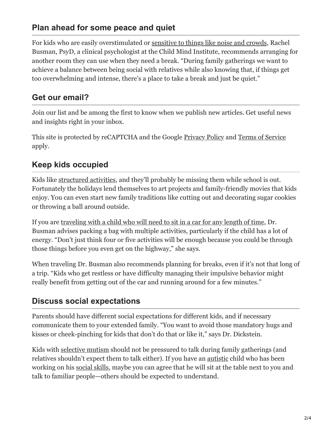## **Plan ahead for some peace and quiet**

For kids who are easily overstimulated or [sensitive to things like noise and crowds,](https://childmind.org/topics/concerns/sensory-processing/) Rachel Busman, PsyD, a clinical psychologist at the Child Mind Institute, recommends arranging for another room they can use when they need a break. "During family gatherings we want to achieve a balance between being social with relatives while also knowing that, if things get too overwhelming and intense, there's a place to take a break and just be quiet."

# **Get our email?**

Join our list and be among the first to know when we publish new articles. Get useful news and insights right in your inbox.

This site is protected by reCAPTCHA and the Google [Privacy Policy](https://policies.google.com/privacy) and [Terms of Service](https://policies.google.com/terms) apply.

# **Keep kids occupied**

Kids like [structured activities](https://childmind.org/article/why-do-kids-have-trouble-with-transitions/), and they'll probably be missing them while school is out. Fortunately the holidays lend themselves to art projects and family-friendly movies that kids enjoy. You can even start new family traditions like cutting out and decorating sugar cookies or throwing a ball around outside.

If you are [traveling with a child who will need to sit in a car for any length of time,](https://childmind.org/article/tips-for-traveling-with-challenging-children/) Dr. Busman advises packing a bag with multiple activities, particularly if the child has a lot of energy. "Don't just think four or five activities will be enough because you could be through those things before you even get on the highway," she says.

When traveling Dr. Busman also recommends planning for breaks, even if it's not that long of a trip. "Kids who get restless or have difficulty managing their impulsive behavior might really benefit from getting out of the car and running around for a few minutes."

# **Discuss social expectations**

Parents should have different social expectations for different kids, and if necessary communicate them to your extended family. "You want to avoid those mandatory hugs and kisses or cheek-pinching for kids that don't do that or like it," says Dr. Dickstein.

Kids with [selective mutism](https://childmind.org/guide/parents-guide-to-sm/) should not be pressured to talk during family gatherings (and relatives shouldn't expect them to talk either). If you have an [autistic](https://childmind.org/guide/guide-to-austism-spectrum-disorder/) child who has been working on his [social skills](https://childmind.org/article/social-challenges-kids-learning-problems/), maybe you can agree that he will sit at the table next to you and talk to familiar people—others should be expected to understand.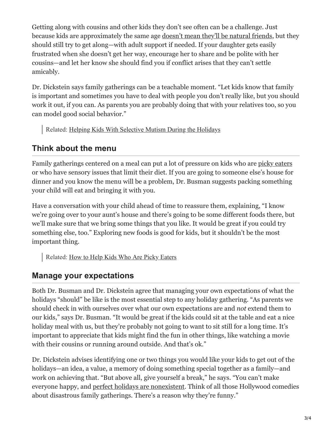Getting along with cousins and other kids they don't see often can be a challenge. Just because kids are approximately the same age [doesn't mean they'll be natural friends](https://childmind.org/article/kids-who-need-a-little-help-to-make-friends/), but they should still try to get along—with adult support if needed. If your daughter gets easily frustrated when she doesn't get her way, encourage her to share and be polite with her cousins—and let her know she should find you if conflict arises that they can't settle amicably.

Dr. Dickstein says family gatherings can be a teachable moment. "Let kids know that family is important and sometimes you have to deal with people you don't really like, but you should work it out, if you can. As parents you are probably doing that with your relatives too, so you can model good social behavior."

Related: [Helping Kids With Selective Mutism During the Holidays](https://childmind.org/article/selective-mutism-during-holidays/)

## **Think about the menu**

Family gatherings centered on a meal can put a lot of pressure on kids who are [picky eaters](https://childmind.org/article/how-to-help-kids-who-are-picky-eaters/) or who have sensory issues that limit their diet. If you are going to someone else's house for dinner and you know the menu will be a problem, Dr. Busman suggests packing something your child will eat and bringing it with you.

Have a conversation with your child ahead of time to reassure them, explaining, "I know we're going over to your aunt's house and there's going to be some different foods there, but we'll make sure that we bring some things that you like. It would be great if you could try something else, too." Exploring new foods is good for kids, but it shouldn't be the most important thing.

Related: [How to Help Kids Who Are Picky Eaters](https://childmind.org/article/how-to-help-kids-who-are-picky-eaters/)

## **Manage your expectations**

Both Dr. Busman and Dr. Dickstein agree that managing your own expectations of what the holidays "should" be like is the most essential step to any holiday gathering. "As parents we should check in with ourselves over what our own expectations are and *not* extend them to our kids," says Dr. Busman. "It would be great if the kids could sit at the table and eat a nice holiday meal with us, but they're probably not going to want to sit still for a long time. It's important to appreciate that kids might find the fun in other things, like watching a movie with their cousins or running around outside. And that's ok."

Dr. Dickstein advises identifying one or two things you would like your kids to get out of the holidays—an idea, a value, a memory of doing something special together as a family—and work on achieving that. "But above all, give yourself a break," he says. "You can't make everyone happy, and [perfect holidays are nonexistent](https://childmind.org/article/enjoy-the-holidays-more-with-mindfulness/). Think of all those Hollywood comedies about disastrous family gatherings. There's a reason why they're funny."